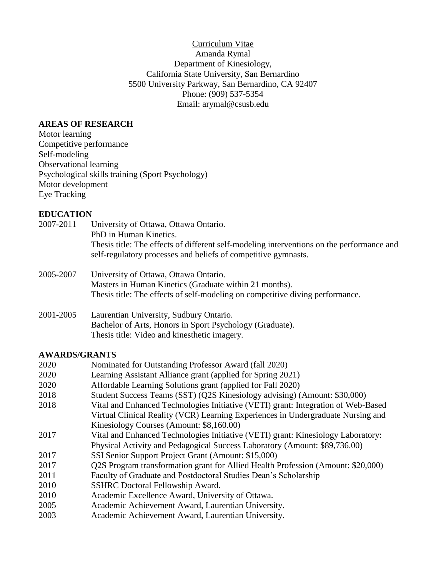Curriculum Vitae Amanda Rymal Department of Kinesiology, California State University, San Bernardino 5500 University Parkway, San Bernardino, CA 92407 Phone: (909) 537-5354 Email: arymal@csusb.edu

### **AREAS OF RESEARCH**

Motor learning Competitive performance Self-modeling Observational learning Psychological skills training (Sport Psychology) Motor development Eye Tracking

## **EDUCATION**

- 2007-2011 University of Ottawa, Ottawa Ontario. PhD in Human Kinetics. Thesis title: The effects of different self-modeling interventions on the performance and self-regulatory processes and beliefs of competitive gymnasts.
- 2005-2007 University of Ottawa, Ottawa Ontario. Masters in Human Kinetics (Graduate within 21 months). Thesis title: The effects of self-modeling on competitive diving performance.
- 2001-2005 Laurentian University, Sudbury Ontario. Bachelor of Arts, Honors in Sport Psychology (Graduate). Thesis title: Video and kinesthetic imagery.

## **AWARDS/GRANTS**

| 2020 | Nominated for Outstanding Professor Award (fall 2020)                             |
|------|-----------------------------------------------------------------------------------|
| 2020 | Learning Assistant Alliance grant (applied for Spring 2021)                       |
| 2020 | Affordable Learning Solutions grant (applied for Fall 2020)                       |
| 2018 | Student Success Teams (SST) (Q2S Kinesiology advising) (Amount: \$30,000)         |
| 2018 | Vital and Enhanced Technologies Initiative (VETI) grant: Integration of Web-Based |
|      | Virtual Clinical Reality (VCR) Learning Experiences in Undergraduate Nursing and  |
|      | Kinesiology Courses (Amount: \$8,160.00)                                          |
| 2017 | Vital and Enhanced Technologies Initiative (VETI) grant: Kinesiology Laboratory:  |
|      | Physical Activity and Pedagogical Success Laboratory (Amount: \$89,736.00)        |
| 2017 | SSI Senior Support Project Grant (Amount: \$15,000)                               |
| 2017 | Q2S Program transformation grant for Allied Health Profession (Amount: \$20,000)  |
| 2011 | Faculty of Graduate and Postdoctoral Studies Dean's Scholarship                   |
| 2010 | <b>SSHRC</b> Doctoral Fellowship Award.                                           |
| 2010 | Academic Excellence Award, University of Ottawa.                                  |
| 2005 | Academic Achievement Award, Laurentian University.                                |
| 2003 | Academic Achievement Award, Laurentian University.                                |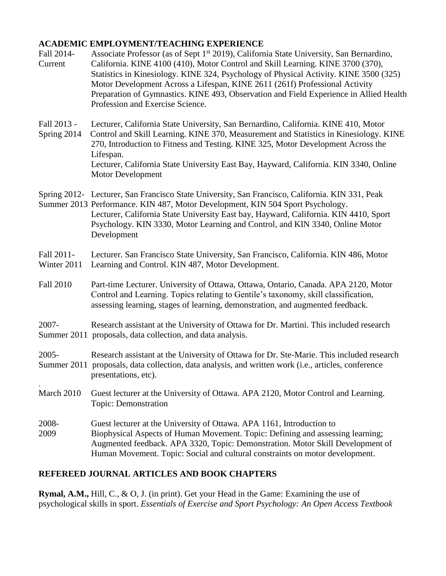## **ACADEMIC EMPLOYMENT/TEACHING EXPERIENCE**

- Fall 2014- Associate Professor (as of Sept 1<sup>st</sup> 2019), California State University, San Bernardino, Current California. KINE 4100 (410), Motor Control and Skill Learning. KINE 3700 (370), Statistics in Kinesiology. KINE 324, Psychology of Physical Activity. KINE 3500 (325) Motor Development Across a Lifespan, KINE 2611 (261f) Professional Activity Preparation of Gymnastics. KINE 493, Observation and Field Experience in Allied Health Profession and Exercise Science.
- Fall 2013 Lecturer, California State University, San Bernardino, California. KINE 410, Motor Spring 2014 Control and Skill Learning. KINE 370, Measurement and Statistics in Kinesiology. KINE 270, Introduction to Fitness and Testing. KINE 325, Motor Development Across the Lifespan. Lecturer, California State University East Bay, Hayward, California. KIN 3340, Online Motor Development
- Spring 2012- Lecturer, San Francisco State University, San Francisco, California. KIN 331, Peak
- Summer 2013 Performance. KIN 487, Motor Development, KIN 504 Sport Psychology. Lecturer, California State University East bay, Hayward, California. KIN 4410, Sport Psychology. KIN 3330, Motor Learning and Control, and KIN 3340, Online Motor Development
- Fall 2011- Lecturer. San Francisco State University, San Francisco, California. KIN 486, Motor Winter 2011 Learning and Control. KIN 487, Motor Development.
- Fall 2010 Part-time Lecturer. University of Ottawa, Ottawa, Ontario, Canada. APA 2120, Motor Control and Learning. Topics relating to Gentile's taxonomy, skill classification, assessing learning, stages of learning, demonstration, and augmented feedback.
- 2007- Research assistant at the University of Ottawa for Dr. Martini. This included research Summer 2011 proposals, data collection, and data analysis.
- 2005- Research assistant at the University of Ottawa for Dr. Ste-Marie. This included research Summer 2011 proposals, data collection, data analysis, and written work (i.e., articles, conference presentations, etc).
- March 2010 Guest lecturer at the University of Ottawa. APA 2120, Motor Control and Learning. Topic: Demonstration
- 2008- Guest lecturer at the University of Ottawa. APA 1161, Introduction to 2009 Biophysical Aspects of Human Movement. Topic: Defining and assessing learning; Augmented feedback. APA 3320, Topic: Demonstration. Motor Skill Development of Human Movement. Topic: Social and cultural constraints on motor development.

# **REFEREED JOURNAL ARTICLES AND BOOK CHAPTERS**

.

**Rymal, A.M.,** Hill, C., & O, J. (in print). Get your Head in the Game: Examining the use of psychological skills in sport. *Essentials of Exercise and Sport Psychology: An Open Access Textbook*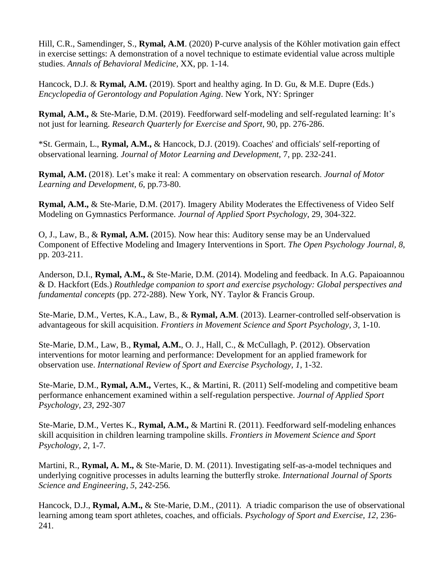Hill, C.R., Samendinger, S., **Rymal, A.M**. (2020) P-curve analysis of the Köhler motivation gain effect in exercise settings: A demonstration of a novel technique to estimate evidential value across multiple studies. *Annals of Behavioral Medicine,* XX, pp. 1-14.

Hancock, D.J. & **Rymal, A.M.** (2019). Sport and healthy aging. In D. Gu, & M.E. Dupre (Eds.) *Encyclopedia of Gerontology and Population Aging*. New York, NY: Springer

**Rymal, A.M.,** & Ste-Marie, D.M. (2019). Feedforward self-modeling and self-regulated learning: It's not just for learning. *Research Quarterly for Exercise and Sport,* 90, pp. 276-286.

\*St. Germain, L., **Rymal, A.M.,** & Hancock, D.J. (2019). Coaches' and officials' self-reporting of observational learning. *Journal of Motor Learning and Development,* 7, pp. 232-241.

**Rymal, A.M.** (2018). Let's make it real: A commentary on observation research. *Journal of Motor Learning and Development, 6,* pp.73-80.

**Rymal, A.M.,** & Ste-Marie, D.M. (2017). Imagery Ability Moderates the Effectiveness of Video Self Modeling on Gymnastics Performance. *Journal of Applied Sport Psychology*, 29, 304-322.

O, J., Law, B., & **Rymal, A.M.** (2015). Now hear this: Auditory sense may be an Undervalued Component of Effective Modeling and Imagery Interventions in Sport. *The Open Psychology Journal, 8,* pp. 203-211.

Anderson, D.I., **Rymal, A.M.,** & Ste-Marie, D.M. (2014). Modeling and feedback. In A.G. Papaioannou & D. Hackfort (Eds.) *Routhledge companion to sport and exercise psychology: Global perspectives and fundamental concepts* (pp. 272-288). New York, NY. Taylor & Francis Group.

Ste-Marie, D.M., Vertes, K.A., Law, B., & **Rymal, A.M**. (2013). Learner-controlled self-observation is advantageous for skill acquisition. *Frontiers in Movement Science and Sport Psychology, 3*, 1-10.

Ste-Marie, D.M., Law, B., **Rymal, A.M.**, O. J., Hall, C., & McCullagh, P. (2012). Observation interventions for motor learning and performance: Development for an applied framework for observation use. *International Review of Sport and Exercise Psychology, 1*, 1-32.

Ste-Marie, D.M., **Rymal, A.M.,** Vertes, K., & Martini, R. (2011) Self-modeling and competitive beam performance enhancement examined within a self-regulation perspective. *Journal of Applied Sport Psychology, 23*, 292-307

Ste-Marie, D.M., Vertes K., **Rymal, A.M.,** & Martini R. (2011). Feedforward self-modeling enhances skill acquisition in children learning trampoline skills. *Frontiers in Movement Science and Sport Psychology, 2*, 1-7*.*

Martini, R., **Rymal, A. M.,** & Ste-Marie, D. M. (2011). Investigating self-as-a-model techniques and underlying cognitive processes in adults learning the butterfly stroke*. International Journal of Sports Science and Engineering, 5*, 242-256*.*

Hancock, D.J., **Rymal, A.M.,** & Ste-Marie, D.M., (2011). A triadic comparison the use of observational learning among team sport athletes, coaches, and officials. *Psychology of Sport and Exercise, 12*, 236- 241*.*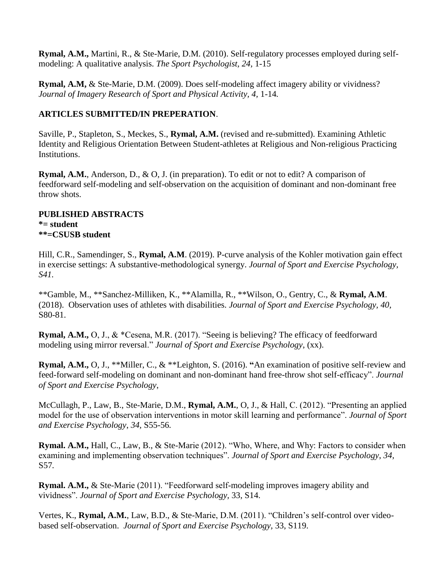**Rymal, A.M.,** Martini, R., & Ste-Marie, D.M. (2010). Self-regulatory processes employed during selfmodeling: A qualitative analysis. *The Sport Psychologist, 24,* 1-15

**Rymal, A.M,** & Ste-Marie, D.M. (2009). Does self-modeling affect imagery ability or vividness? *Journal of Imagery Research of Sport and Physical Activity, 4,* 1-14*.*

# **ARTICLES SUBMITTED/IN PREPERATION**.

Saville, P., Stapleton, S., Meckes, S., **Rymal, A.M.** (revised and re-submitted). Examining Athletic Identity and Religious Orientation Between Student-athletes at Religious and Non-religious Practicing Institutions.

**Rymal, A.M.**, Anderson, D., & O., J. (in preparation). To edit or not to edit? A comparison of feedforward self-modeling and self-observation on the acquisition of dominant and non-dominant free throw shots.

#### **PUBLISHED ABSTRACTS \*= student \*\*=CSUSB student**

Hill, C.R., Samendinger, S., **Rymal, A.M**. (2019). P-curve analysis of the Kohler motivation gain effect in exercise settings: A substantive-methodological synergy. *Journal of Sport and Exercise Psychology, S41.*

\*\*Gamble, M., \*\*Sanchez-Milliken, K., \*\*Alamilla, R., \*\*Wilson, O., Gentry, C., & **Rymal, A.M**. (2018). Observation uses of athletes with disabilities. *Journal of Sport and Exercise Psychology, 40,* S80-81.

**Rymal, A.M.,** O, J., & \*Cesena, M.R. (2017). "Seeing is believing? The efficacy of feedforward modeling using mirror reversal." *Journal of Sport and Exercise Psychology*, (xx).

**Rymal, A.M.,** O, J., \*\*Miller, C., & \*\*Leighton, S. (2016). **"**An examination of positive self-review and feed-forward self-modeling on dominant and non-dominant hand free-throw shot self-efficacy". *Journal of Sport and Exercise Psychology*,

McCullagh, P., Law, B., Ste-Marie, D.M., **Rymal, A.M.**, O, J., & Hall, C. (2012). "Presenting an applied model for the use of observation interventions in motor skill learning and performance". *Journal of Sport and Exercise Psychology*, *34,* S55-56*.*

**Rymal. A.M.,** Hall, C., Law, B., & Ste-Marie (2012). "Who, Where, and Why: Factors to consider when examining and implementing observation techniques". *Journal of Sport and Exercise Psychology*, *34,*  S57*.*

**Rymal. A.M.,** & Ste-Marie (2011). "Feedforward self-modeling improves imagery ability and vividness". *Journal of Sport and Exercise Psychology,* 33, S14.

Vertes, K., **Rymal, A.M.**, Law, B.D., & Ste-Marie, D.M. (2011). "Children's self-control over videobased self-observation. *Journal of Sport and Exercise Psychology,* 33, S119.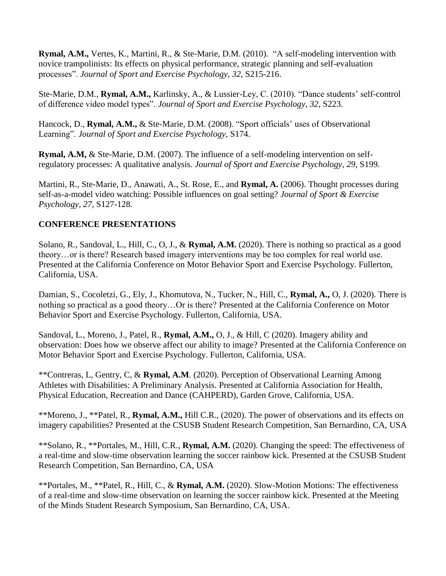**Rymal, A.M.,** Vertes, K., Martini, R., & Ste-Marie, D.M. (2010). "A self-modeling intervention with novice trampolinists: Its effects on physical performance, strategic planning and self-evaluation processes". *Journal of Sport and Exercise Psychology, 32,* S215-216.

Ste-Marie, D.M., **Rymal, A.M.,** Karlinsky, A., & Lussier-Ley, C. (2010). "Dance students' self-control of difference video model types". *Journal of Sport and Exercise Psychology, 32,* S223.

Hancock, D., **Rymal, A.M.,** & Ste-Marie, D.M. (2008). "Sport officials' uses of Observational Learning". *Journal of Sport and Exercise Psychology*, S174.

**Rymal, A.M,** & Ste-Marie, D.M. (2007). The influence of a self-modeling intervention on selfregulatory processes: A qualitative analysis. *Journal of Sport and Exercise Psychology, 29,* S199.

Martini, R., Ste-Marie, D., Anawati, A., St. Rose, E., and **Rymal, A.** (2006). Thought processes during self-as-a-model video watching: Possible influences on goal setting? *Journal of Sport & Exercise Psychology, 27,* S127-128*.*

## **CONFERENCE PRESENTATIONS**

Solano, R., Sandoval, L., Hill, C., O, J., & **Rymal, A.M.** (2020). There is nothing so practical as a good theory…or is there? Research based imagery interventions may be too complex for real world use. Presented at the California Conference on Motor Behavior Sport and Exercise Psychology. Fullerton, California, USA.

Damian, S., Cocoletzi, G., Ely, J., Khomutova, N., Tucker, N., Hill, C., **Rymal, A.,** O, J. (2020). There is nothing so practical as a good theory…Or is there? Presented at the California Conference on Motor Behavior Sport and Exercise Psychology. Fullerton, California, USA.

Sandoval, L., Moreno, J., Patel, R., **Rymal, A.M.,** O, J., & Hill, C (2020). Imagery ability and observation: Does how we observe affect our ability to image? Presented at the California Conference on Motor Behavior Sport and Exercise Psychology. Fullerton, California, USA.

\*\*Contreras, L, Gentry, C, & **Rymal, A.M**. (2020). Perception of Observational Learning Among Athletes with Disabilities: A Preliminary Analysis. Presented at California Association for Health, Physical Education, Recreation and Dance (CAHPERD), Garden Grove, California, USA.

\*\*Moreno, J., \*\*Patel, R., **Rymal, A.M.,** Hill C.R., (2020). The power of observations and its effects on imagery capabilities? Presented at the CSUSB Student Research Competition, San Bernardino, CA, USA

\*\*Solano, R., \*\*Portales, M., Hill, C.R., **Rymal, A.M.** (2020). Changing the speed: The effectiveness of a real-time and slow-time observation learning the soccer rainbow kick. Presented at the CSUSB Student Research Competition, San Bernardino, CA, USA

\*\*Portales, M., \*\*Patel, R., Hill, C., & **Rymal, A.M.** (2020). Slow-Motion Motions: The effectiveness of a real-time and slow-time observation on learning the soccer rainbow kick. Presented at the Meeting of the Minds Student Research Symposium, San Bernardino, CA, USA.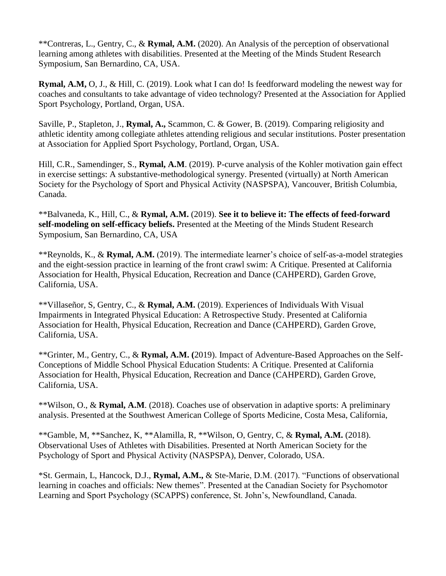\*\*Contreras, L., Gentry, C., & **Rymal, A.M.** (2020). An Analysis of the perception of observational learning among athletes with disabilities. Presented at the Meeting of the Minds Student Research Symposium, San Bernardino, CA, USA.

**Rymal, A.M,** O, J., & Hill, C. (2019). Look what I can do! Is feedforward modeling the newest way for coaches and consultants to take advantage of video technology? Presented at the Association for Applied Sport Psychology, Portland, Organ, USA.

Saville, P., Stapleton, J., **Rymal, A.,** Scammon, C. & Gower, B. (2019). Comparing religiosity and athletic identity among collegiate athletes attending religious and secular institutions. Poster presentation at Association for Applied Sport Psychology, Portland, Organ, USA.

Hill, C.R., Samendinger, S., **Rymal, A.M**. (2019). P-curve analysis of the Kohler motivation gain effect in exercise settings: A substantive-methodological synergy. Presented (virtually) at North American Society for the Psychology of Sport and Physical Activity (NASPSPA), Vancouver, British Columbia, Canada.

\*\*Balvaneda, K., Hill, C., & **Rymal, A.M.** (2019). **See it to believe it: The effects of feed-forward self-modeling on self-efficacy beliefs.** Presented at the Meeting of the Minds Student Research Symposium, San Bernardino, CA, USA

\*\*Reynolds, K., & **Rymal, A.M.** (2019). The intermediate learner's choice of self-as-a-model strategies and the eight-session practice in learning of the front crawl swim: A Critique. Presented at California Association for Health, Physical Education, Recreation and Dance (CAHPERD), Garden Grove, California, USA.

\*\*Villaseñor, S, Gentry, C., & **Rymal, A.M.** (2019). Experiences of Individuals With Visual Impairments in Integrated Physical Education: A Retrospective Study. Presented at California Association for Health, Physical Education, Recreation and Dance (CAHPERD), Garden Grove, California, USA.

\*\*Grinter, M., Gentry, C., & **Rymal, A.M. (**2019). Impact of Adventure-Based Approaches on the Self-Conceptions of Middle School Physical Education Students: A Critique. Presented at California Association for Health, Physical Education, Recreation and Dance (CAHPERD), Garden Grove, California, USA.

\*\*Wilson, O., & **Rymal, A.M**. (2018). Coaches use of observation in adaptive sports: A preliminary analysis. Presented at the Southwest American College of Sports Medicine, Costa Mesa, California,

\*\*Gamble, M, \*\*Sanchez, K, \*\*Alamilla, R, \*\*Wilson, O, Gentry, C, & **Rymal, A.M.** (2018). Observational Uses of Athletes with Disabilities. Presented at North American Society for the Psychology of Sport and Physical Activity (NASPSPA), Denver, Colorado, USA.

\*St. Germain, L, Hancock, D.J., **Rymal, A.M.,** & Ste-Marie, D.M. (2017). "Functions of observational learning in coaches and officials: New themes". Presented at the Canadian Society for Psychomotor Learning and Sport Psychology (SCAPPS) conference, St. John's, Newfoundland, Canada.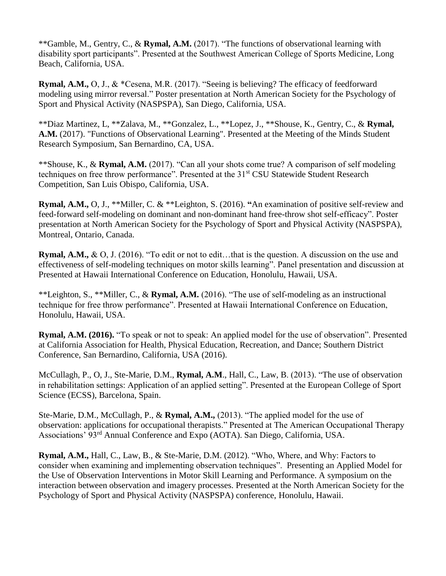\*\*Gamble, M., Gentry, C., & **Rymal, A.M.** (2017). "The functions of observational learning with disability sport participants". Presented at the Southwest American College of Sports Medicine, Long Beach, California, USA.

**Rymal, A.M.,** O, J., & \*Cesena, M.R. (2017). "Seeing is believing? The efficacy of feedforward modeling using mirror reversal." Poster presentation at North American Society for the Psychology of Sport and Physical Activity (NASPSPA), San Diego, California, USA.

\*\*Diaz Martinez, L, \*\*Zalava, M., \*\*Gonzalez, L., \*\*Lopez, J., \*\*Shouse, K., Gentry, C., & **Rymal, A.M.** (2017). "Functions of Observational Learning". Presented at the Meeting of the Minds Student Research Symposium, San Bernardino, CA, USA.

\*\*Shouse, K., & **Rymal, A.M.** (2017). "Can all your shots come true? A comparison of self modeling techniques on free throw performance". Presented at the 31<sup>st</sup> CSU Statewide Student Research Competition, San Luis Obispo, California, USA.

**Rymal, A.M.,** O, J., \*\*Miller, C. & \*\*Leighton, S. (2016). **"**An examination of positive self-review and feed-forward self-modeling on dominant and non-dominant hand free-throw shot self-efficacy". Poster presentation at North American Society for the Psychology of Sport and Physical Activity (NASPSPA), Montreal, Ontario, Canada.

**Rymal, A.M.,** & O, J. (2016). "To edit or not to edit…that is the question. A discussion on the use and effectiveness of self-modeling techniques on motor skills learning". Panel presentation and discussion at Presented at Hawaii International Conference on Education, Honolulu, Hawaii, USA.

\*\*Leighton, S., \*\*Miller, C., & **Rymal, A.M.** (2016). "The use of self-modeling as an instructional technique for free throw performance". Presented at Hawaii International Conference on Education, Honolulu, Hawaii, USA.

**Rymal, A.M. (2016).** "To speak or not to speak: An applied model for the use of observation". Presented at California Association for Health, Physical Education, Recreation, and Dance; Southern District Conference, San Bernardino, California, USA (2016).

McCullagh, P., O, J., Ste-Marie, D.M., **Rymal, A.M**., Hall, C., Law, B. (2013). "The use of observation in rehabilitation settings: Application of an applied setting". Presented at the European College of Sport Science (ECSS), Barcelona, Spain.

Ste-Marie, D.M., McCullagh, P., & **Rymal, A.M.,** (2013). "The applied model for the use of observation: applications for occupational therapists." Presented at The American Occupational Therapy Associations' 93rd Annual Conference and Expo (AOTA). San Diego, California, USA.

**Rymal, A.M.,** Hall, C., Law, B., & Ste-Marie, D.M. (2012). "Who, Where, and Why: Factors to consider when examining and implementing observation techniques". Presenting an Applied Model for the Use of Observation Interventions in Motor Skill Learning and Performance. A symposium on the interaction between observation and imagery processes. Presented at the North American Society for the Psychology of Sport and Physical Activity (NASPSPA) conference, Honolulu, Hawaii.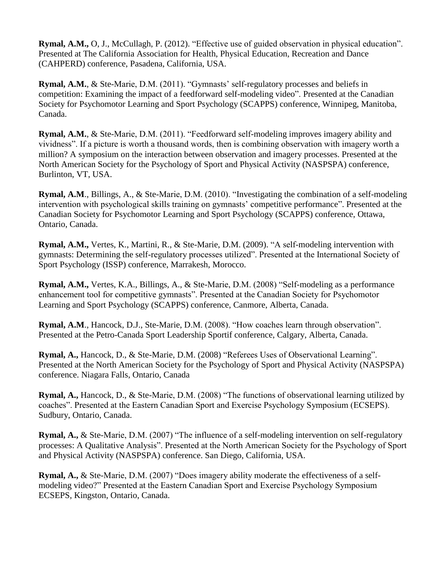**Rymal, A.M.,** O, J., McCullagh, P. (2012). "Effective use of guided observation in physical education". Presented at The California Association for Health, Physical Education, Recreation and Dance (CAHPERD) conference, Pasadena, California, USA.

**Rymal, A.M.**, & Ste-Marie, D.M. (2011). "Gymnasts' self-regulatory processes and beliefs in competition: Examining the impact of a feedforward self-modeling video". Presented at the Canadian Society for Psychomotor Learning and Sport Psychology (SCAPPS) conference, Winnipeg, Manitoba, Canada.

**Rymal, A.M.**, & Ste-Marie, D.M. (2011). "Feedforward self-modeling improves imagery ability and vividness". If a picture is worth a thousand words, then is combining observation with imagery worth a million? A symposium on the interaction between observation and imagery processes. Presented at the North American Society for the Psychology of Sport and Physical Activity (NASPSPA) conference, Burlinton, VT, USA.

**Rymal, A.M**., Billings, A., & Ste-Marie, D.M. (2010). "Investigating the combination of a self-modeling intervention with psychological skills training on gymnasts' competitive performance". Presented at the Canadian Society for Psychomotor Learning and Sport Psychology (SCAPPS) conference, Ottawa, Ontario, Canada.

**Rymal, A.M.,** Vertes, K., Martini, R., & Ste-Marie, D.M. (2009). "A self-modeling intervention with gymnasts: Determining the self-regulatory processes utilized". Presented at the International Society of Sport Psychology (ISSP) conference, Marrakesh, Morocco.

**Rymal, A.M.,** Vertes, K.A., Billings, A., & Ste-Marie, D.M. (2008) "Self-modeling as a performance enhancement tool for competitive gymnasts". Presented at the Canadian Society for Psychomotor Learning and Sport Psychology (SCAPPS) conference, Canmore, Alberta, Canada.

**Rymal, A.M**., Hancock, D.J., Ste-Marie, D.M. (2008). "How coaches learn through observation". Presented at the Petro-Canada Sport Leadership Sportif conference, Calgary, Alberta, Canada.

**Rymal, A.,** Hancock, D., & Ste-Marie, D.M. (2008) "Referees Uses of Observational Learning". Presented at the North American Society for the Psychology of Sport and Physical Activity (NASPSPA) conference. Niagara Falls, Ontario, Canada

**Rymal, A.,** Hancock, D., & Ste-Marie, D.M. (2008) "The functions of observational learning utilized by coaches". Presented at the Eastern Canadian Sport and Exercise Psychology Symposium (ECSEPS). Sudbury, Ontario, Canada.

**Rymal, A.,** & Ste-Marie, D.M. (2007) "The influence of a self-modeling intervention on self-regulatory processes: A Qualitative Analysis". Presented at the North American Society for the Psychology of Sport and Physical Activity (NASPSPA) conference. San Diego, California, USA.

**Rymal, A.,** & Ste-Marie, D.M. (2007) "Does imagery ability moderate the effectiveness of a selfmodeling video?" Presented at the Eastern Canadian Sport and Exercise Psychology Symposium ECSEPS, Kingston, Ontario, Canada.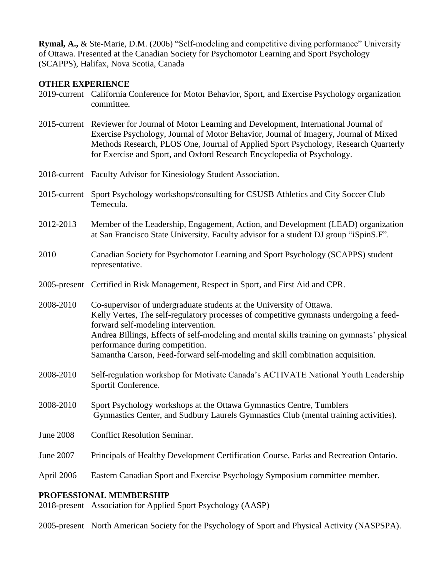**Rymal, A.,** & Ste-Marie, D.M. (2006) "Self-modeling and competitive diving performance" University of Ottawa. Presented at the Canadian Society for Psychomotor Learning and Sport Psychology (SCAPPS), Halifax, Nova Scotia, Canada

### **OTHER EXPERIENCE**

- 2019-current California Conference for Motor Behavior, Sport, and Exercise Psychology organization committee.
- 2015-current Reviewer for Journal of Motor Learning and Development, International Journal of Exercise Psychology, Journal of Motor Behavior, Journal of Imagery, Journal of Mixed Methods Research, PLOS One, Journal of Applied Sport Psychology, Research Quarterly for Exercise and Sport, and Oxford Research Encyclopedia of Psychology.
- 2018-current Faculty Advisor for Kinesiology Student Association.
- 2015-current Sport Psychology workshops/consulting for CSUSB Athletics and City Soccer Club Temecula.
- 2012-2013 Member of the Leadership, Engagement, Action, and Development (LEAD) organization at San Francisco State University. Faculty advisor for a student DJ group "iSpinS.F".
- 2010 Canadian Society for Psychomotor Learning and Sport Psychology (SCAPPS) student representative.
- 2005-present Certified in Risk Management, Respect in Sport, and First Aid and CPR.
- 2008-2010 Co-supervisor of undergraduate students at the University of Ottawa. Kelly Vertes, The self-regulatory processes of competitive gymnasts undergoing a feedforward self-modeling intervention. Andrea Billings, Effects of self-modeling and mental skills training on gymnasts' physical performance during competition. Samantha Carson, Feed-forward self-modeling and skill combination acquisition.
- 2008-2010 Self-regulation workshop for Motivate Canada's ACTIVATE National Youth Leadership Sportif Conference.
- 2008-2010 Sport Psychology workshops at the Ottawa Gymnastics Centre, Tumblers Gymnastics Center, and Sudbury Laurels Gymnastics Club (mental training activities).
- June 2008 Conflict Resolution Seminar.
- June 2007 Principals of Healthy Development Certification Course, Parks and Recreation Ontario.
- April 2006 Eastern Canadian Sport and Exercise Psychology Symposium committee member.

#### **PROFESSIONAL MEMBERSHIP**

2018-present Association for Applied Sport Psychology (AASP)

2005-present North American Society for the Psychology of Sport and Physical Activity (NASPSPA).